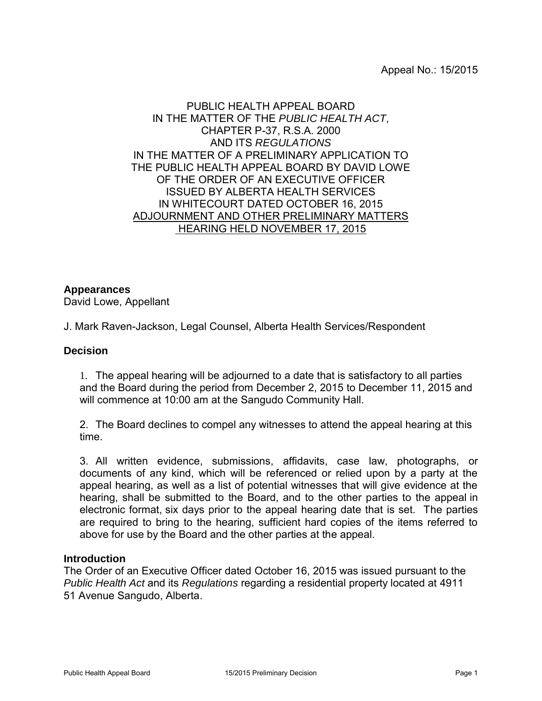# PUBLIC HEALTH APPEAL BOARD IN THE MATTER OF THE *PUBLIC HEALTH ACT*, CHAPTER P-37, R.S.A. 2000 AND ITS *REGULATIONS* IN THE MATTER OF A PRELIMINARY APPLICATION TO THE PUBLIC HEALTH APPEAL BOARD BY DAVID LOWE OF THE ORDER OF AN EXECUTIVE OFFICER ISSUED BY ALBERTA HEALTH SERVICES IN WHITECOURT DATED OCTOBER 16, 2015 ADJOURNMENT AND OTHER PRELIMINARY MATTERS HEARING HELD NOVEMBER 17, 2015

# **Appearances**

David Lowe, Appellant

J. Mark Raven-Jackson, Legal Counsel, Alberta Health Services/Respondent

### **Decision**

1. The appeal hearing will be adjourned to a date that is satisfactory to all parties and the Board during the period from December 2, 2015 to December 11, 2015 and will commence at 10:00 am at the Sangudo Community Hall.

2. The Board declines to compel any witnesses to attend the appeal hearing at this time.

3. All written evidence, submissions, affidavits, case law, photographs, or documents of any kind, which will be referenced or relied upon by a party at the appeal hearing, as well as a list of potential witnesses that will give evidence at the hearing, shall be submitted to the Board, and to the other parties to the appeal in electronic format, six days prior to the appeal hearing date that is set. The parties are required to bring to the hearing, sufficient hard copies of the items referred to above for use by the Board and the other parties at the appeal.

#### **Introduction**

The Order of an Executive Officer dated October 16, 2015 was issued pursuant to the *Public Health Act* and its *Regulations* regarding a residential property located at 4911 51 Avenue Sangudo, Alberta.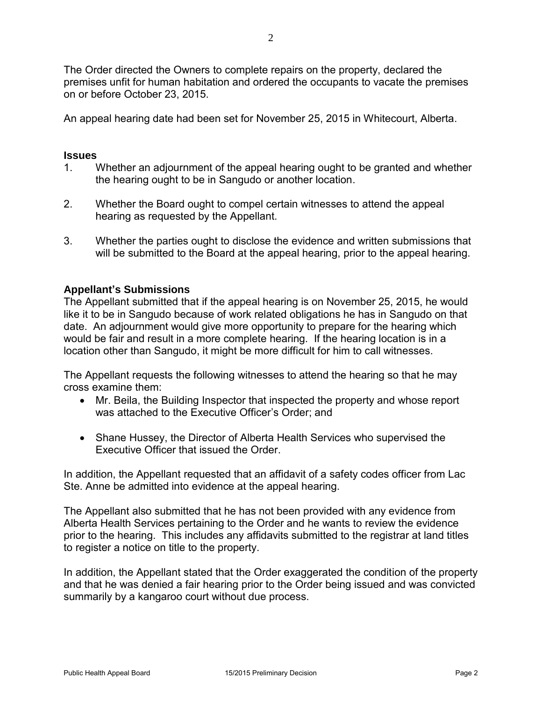The Order directed the Owners to complete repairs on the property, declared the premises unfit for human habitation and ordered the occupants to vacate the premises on or before October 23, 2015.

An appeal hearing date had been set for November 25, 2015 in Whitecourt, Alberta.

# **Issues**

- 1. Whether an adjournment of the appeal hearing ought to be granted and whether the hearing ought to be in Sangudo or another location.
- 2. Whether the Board ought to compel certain witnesses to attend the appeal hearing as requested by the Appellant.
- 3. Whether the parties ought to disclose the evidence and written submissions that will be submitted to the Board at the appeal hearing, prior to the appeal hearing.

# **Appellant's Submissions**

The Appellant submitted that if the appeal hearing is on November 25, 2015, he would like it to be in Sangudo because of work related obligations he has in Sangudo on that date. An adjournment would give more opportunity to prepare for the hearing which would be fair and result in a more complete hearing. If the hearing location is in a location other than Sangudo, it might be more difficult for him to call witnesses.

The Appellant requests the following witnesses to attend the hearing so that he may cross examine them:

- Mr. Beila, the Building Inspector that inspected the property and whose report was attached to the Executive Officer's Order; and
- Shane Hussey, the Director of Alberta Health Services who supervised the Executive Officer that issued the Order.

In addition, the Appellant requested that an affidavit of a safety codes officer from Lac Ste. Anne be admitted into evidence at the appeal hearing.

The Appellant also submitted that he has not been provided with any evidence from Alberta Health Services pertaining to the Order and he wants to review the evidence prior to the hearing. This includes any affidavits submitted to the registrar at land titles to register a notice on title to the property.

In addition, the Appellant stated that the Order exaggerated the condition of the property and that he was denied a fair hearing prior to the Order being issued and was convicted summarily by a kangaroo court without due process.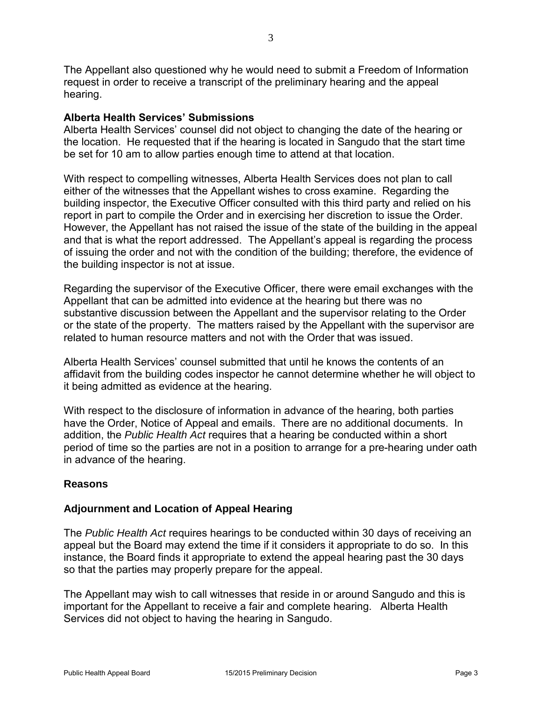The Appellant also questioned why he would need to submit a Freedom of Information request in order to receive a transcript of the preliminary hearing and the appeal hearing.

### **Alberta Health Services' Submissions**

Alberta Health Services' counsel did not object to changing the date of the hearing or the location. He requested that if the hearing is located in Sangudo that the start time be set for 10 am to allow parties enough time to attend at that location.

With respect to compelling witnesses, Alberta Health Services does not plan to call either of the witnesses that the Appellant wishes to cross examine. Regarding the building inspector, the Executive Officer consulted with this third party and relied on his report in part to compile the Order and in exercising her discretion to issue the Order. However, the Appellant has not raised the issue of the state of the building in the appeal and that is what the report addressed. The Appellant's appeal is regarding the process of issuing the order and not with the condition of the building; therefore, the evidence of the building inspector is not at issue.

Regarding the supervisor of the Executive Officer, there were email exchanges with the Appellant that can be admitted into evidence at the hearing but there was no substantive discussion between the Appellant and the supervisor relating to the Order or the state of the property. The matters raised by the Appellant with the supervisor are related to human resource matters and not with the Order that was issued.

Alberta Health Services' counsel submitted that until he knows the contents of an affidavit from the building codes inspector he cannot determine whether he will object to it being admitted as evidence at the hearing.

With respect to the disclosure of information in advance of the hearing, both parties have the Order, Notice of Appeal and emails. There are no additional documents. In addition, the *Public Health Act* requires that a hearing be conducted within a short period of time so the parties are not in a position to arrange for a pre-hearing under oath in advance of the hearing.

# **Reasons**

# **Adjournment and Location of Appeal Hearing**

The *Public Health Act* requires hearings to be conducted within 30 days of receiving an appeal but the Board may extend the time if it considers it appropriate to do so. In this instance, the Board finds it appropriate to extend the appeal hearing past the 30 days so that the parties may properly prepare for the appeal.

The Appellant may wish to call witnesses that reside in or around Sangudo and this is important for the Appellant to receive a fair and complete hearing. Alberta Health Services did not object to having the hearing in Sangudo.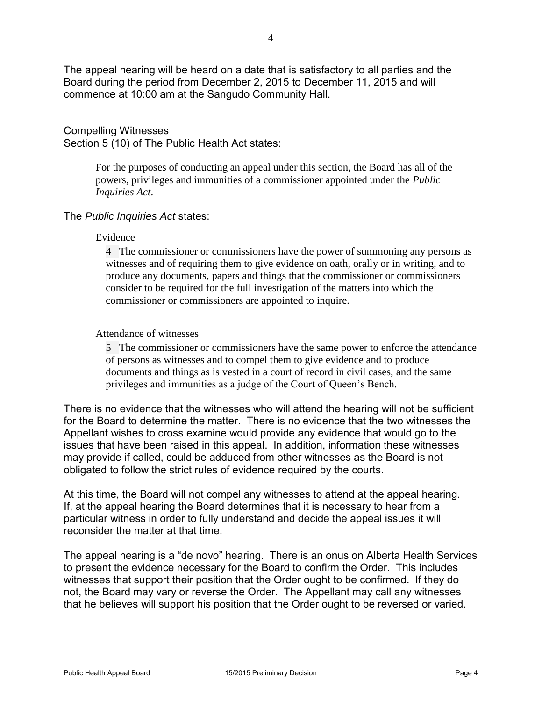The appeal hearing will be heard on a date that is satisfactory to all parties and the Board during the period from December 2, 2015 to December 11, 2015 and will commence at 10:00 am at the Sangudo Community Hall.

#### Compelling Witnesses Section 5 (10) of The Public Health Act states:

For the purposes of conducting an appeal under this section, the Board has all of the powers, privileges and immunities of a commissioner appointed under the *[Public](https://www.canlii.org/en/ab/laws/stat/rsa-2000-c-p-39/latest/rsa-2000-c-p-39.html)  [Inquiries Act](https://www.canlii.org/en/ab/laws/stat/rsa-2000-c-p-39/latest/rsa-2000-c-p-39.html)*.

# The *Public Inquiries Act* states:

#### Evidence

4 The commissioner or commissioners have the power of summoning any persons as witnesses and of requiring them to give evidence on oath, orally or in writing, and to produce any documents, papers and things that the commissioner or commissioners consider to be required for the full investigation of the matters into which the commissioner or commissioners are appointed to inquire.

# Attendance of witnesses

5 The commissioner or commissioners have the same power to enforce the attendance of persons as witnesses and to compel them to give evidence and to produce documents and things as is vested in a court of record in civil cases, and the same privileges and immunities as a judge of the Court of Queen's Bench.

There is no evidence that the witnesses who will attend the hearing will not be sufficient for the Board to determine the matter. There is no evidence that the two witnesses the Appellant wishes to cross examine would provide any evidence that would go to the issues that have been raised in this appeal. In addition, information these witnesses may provide if called, could be adduced from other witnesses as the Board is not obligated to follow the strict rules of evidence required by the courts.

At this time, the Board will not compel any witnesses to attend at the appeal hearing. If, at the appeal hearing the Board determines that it is necessary to hear from a particular witness in order to fully understand and decide the appeal issues it will reconsider the matter at that time.

The appeal hearing is a "de novo" hearing. There is an onus on Alberta Health Services to present the evidence necessary for the Board to confirm the Order. This includes witnesses that support their position that the Order ought to be confirmed. If they do not, the Board may vary or reverse the Order. The Appellant may call any witnesses that he believes will support his position that the Order ought to be reversed or varied.